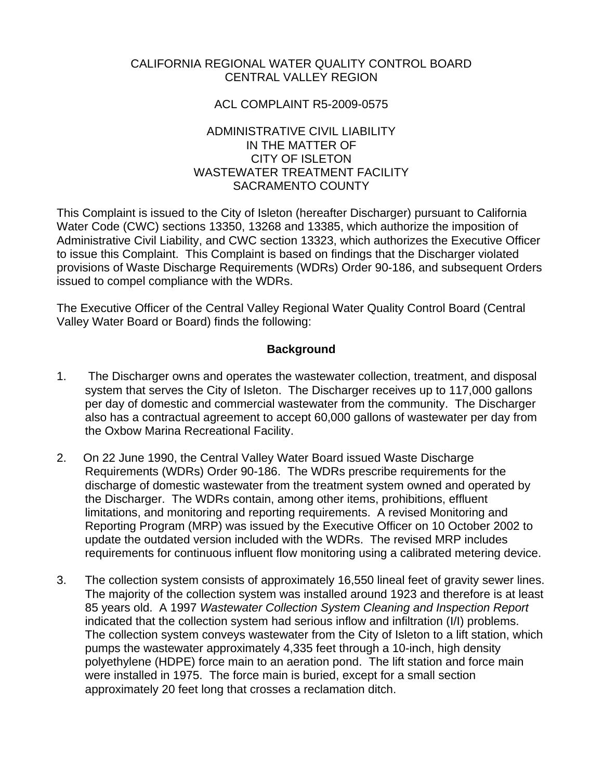#### CALIFORNIA REGIONAL WATER QUALITY CONTROL BOARD CENTRAL VALLEY REGION

### ACL COMPLAINT R5-2009-0575

#### ADMINISTRATIVE CIVIL LIABILITY IN THE MATTER OF CITY OF ISLETON WASTEWATER TREATMENT FACILITY SACRAMENTO COUNTY

This Complaint is issued to the City of Isleton (hereafter Discharger) pursuant to California Water Code (CWC) sections 13350, 13268 and 13385, which authorize the imposition of Administrative Civil Liability, and CWC section 13323, which authorizes the Executive Officer to issue this Complaint. This Complaint is based on findings that the Discharger violated provisions of Waste Discharge Requirements (WDRs) Order 90-186, and subsequent Orders issued to compel compliance with the WDRs.

The Executive Officer of the Central Valley Regional Water Quality Control Board (Central Valley Water Board or Board) finds the following:

# **Background**

- 1. The Discharger owns and operates the wastewater collection, treatment, and disposal system that serves the City of Isleton. The Discharger receives up to 117,000 gallons per day of domestic and commercial wastewater from the community. The Discharger also has a contractual agreement to accept 60,000 gallons of wastewater per day from the Oxbow Marina Recreational Facility.
- 2. On 22 June 1990, the Central Valley Water Board issued Waste Discharge Requirements (WDRs) Order 90-186. The WDRs prescribe requirements for the discharge of domestic wastewater from the treatment system owned and operated by the Discharger. The WDRs contain, among other items, prohibitions, effluent limitations, and monitoring and reporting requirements. A revised Monitoring and Reporting Program (MRP) was issued by the Executive Officer on 10 October 2002 to update the outdated version included with the WDRs. The revised MRP includes requirements for continuous influent flow monitoring using a calibrated metering device.
- 3. The collection system consists of approximately 16,550 lineal feet of gravity sewer lines. The majority of the collection system was installed around 1923 and therefore is at least 85 years old. A 1997 *Wastewater Collection System Cleaning and Inspection Report* indicated that the collection system had serious inflow and infiltration (I/I) problems. The collection system conveys wastewater from the City of Isleton to a lift station, which pumps the wastewater approximately 4,335 feet through a 10-inch, high density polyethylene (HDPE) force main to an aeration pond. The lift station and force main were installed in 1975. The force main is buried, except for a small section approximately 20 feet long that crosses a reclamation ditch.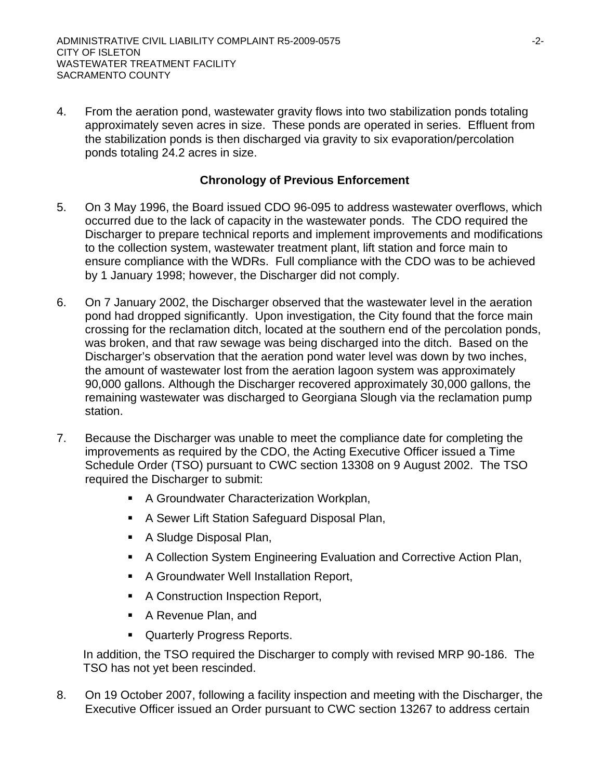4. From the aeration pond, wastewater gravity flows into two stabilization ponds totaling approximately seven acres in size. These ponds are operated in series. Effluent from the stabilization ponds is then discharged via gravity to six evaporation/percolation ponds totaling 24.2 acres in size.

### **Chronology of Previous Enforcement**

- 5. On 3 May 1996, the Board issued CDO 96-095 to address wastewater overflows, which occurred due to the lack of capacity in the wastewater ponds. The CDO required the Discharger to prepare technical reports and implement improvements and modifications to the collection system, wastewater treatment plant, lift station and force main to ensure compliance with the WDRs. Full compliance with the CDO was to be achieved by 1 January 1998; however, the Discharger did not comply.
- 6. On 7 January 2002, the Discharger observed that the wastewater level in the aeration pond had dropped significantly. Upon investigation, the City found that the force main crossing for the reclamation ditch, located at the southern end of the percolation ponds, was broken, and that raw sewage was being discharged into the ditch. Based on the Discharger's observation that the aeration pond water level was down by two inches, the amount of wastewater lost from the aeration lagoon system was approximately 90,000 gallons. Although the Discharger recovered approximately 30,000 gallons, the remaining wastewater was discharged to Georgiana Slough via the reclamation pump station.
- 7. Because the Discharger was unable to meet the compliance date for completing the improvements as required by the CDO, the Acting Executive Officer issued a Time Schedule Order (TSO) pursuant to CWC section 13308 on 9 August 2002. The TSO required the Discharger to submit:
	- **A Groundwater Characterization Workplan,**
	- A Sewer Lift Station Safeguard Disposal Plan,
	- A Sludge Disposal Plan,
	- A Collection System Engineering Evaluation and Corrective Action Plan,
	- A Groundwater Well Installation Report,
	- A Construction Inspection Report,
	- **A Revenue Plan, and**
	- **Quarterly Progress Reports.**

In addition, the TSO required the Discharger to comply with revised MRP 90-186. The TSO has not yet been rescinded.

8. On 19 October 2007, following a facility inspection and meeting with the Discharger, the Executive Officer issued an Order pursuant to CWC section 13267 to address certain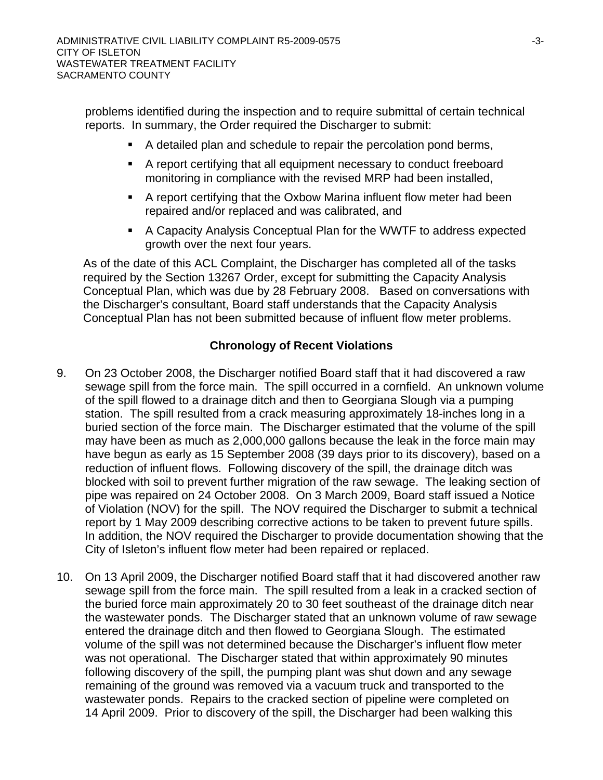problems identified during the inspection and to require submittal of certain technical reports. In summary, the Order required the Discharger to submit:

- A detailed plan and schedule to repair the percolation pond berms,
- A report certifying that all equipment necessary to conduct freeboard monitoring in compliance with the revised MRP had been installed,
- A report certifying that the Oxbow Marina influent flow meter had been repaired and/or replaced and was calibrated, and
- A Capacity Analysis Conceptual Plan for the WWTF to address expected growth over the next four years.

As of the date of this ACL Complaint, the Discharger has completed all of the tasks required by the Section 13267 Order, except for submitting the Capacity Analysis Conceptual Plan, which was due by 28 February 2008. Based on conversations with the Discharger's consultant, Board staff understands that the Capacity Analysis Conceptual Plan has not been submitted because of influent flow meter problems.

# **Chronology of Recent Violations**

- 9. On 23 October 2008, the Discharger notified Board staff that it had discovered a raw sewage spill from the force main. The spill occurred in a cornfield. An unknown volume of the spill flowed to a drainage ditch and then to Georgiana Slough via a pumping station. The spill resulted from a crack measuring approximately 18-inches long in a buried section of the force main. The Discharger estimated that the volume of the spill may have been as much as 2,000,000 gallons because the leak in the force main may have begun as early as 15 September 2008 (39 days prior to its discovery), based on a reduction of influent flows. Following discovery of the spill, the drainage ditch was blocked with soil to prevent further migration of the raw sewage. The leaking section of pipe was repaired on 24 October 2008. On 3 March 2009, Board staff issued a Notice of Violation (NOV) for the spill. The NOV required the Discharger to submit a technical report by 1 May 2009 describing corrective actions to be taken to prevent future spills. In addition, the NOV required the Discharger to provide documentation showing that the City of Isleton's influent flow meter had been repaired or replaced.
- 10. On 13 April 2009, the Discharger notified Board staff that it had discovered another raw sewage spill from the force main. The spill resulted from a leak in a cracked section of the buried force main approximately 20 to 30 feet southeast of the drainage ditch near the wastewater ponds. The Discharger stated that an unknown volume of raw sewage entered the drainage ditch and then flowed to Georgiana Slough. The estimated volume of the spill was not determined because the Discharger's influent flow meter was not operational. The Discharger stated that within approximately 90 minutes following discovery of the spill, the pumping plant was shut down and any sewage remaining of the ground was removed via a vacuum truck and transported to the wastewater ponds. Repairs to the cracked section of pipeline were completed on 14 April 2009. Prior to discovery of the spill, the Discharger had been walking this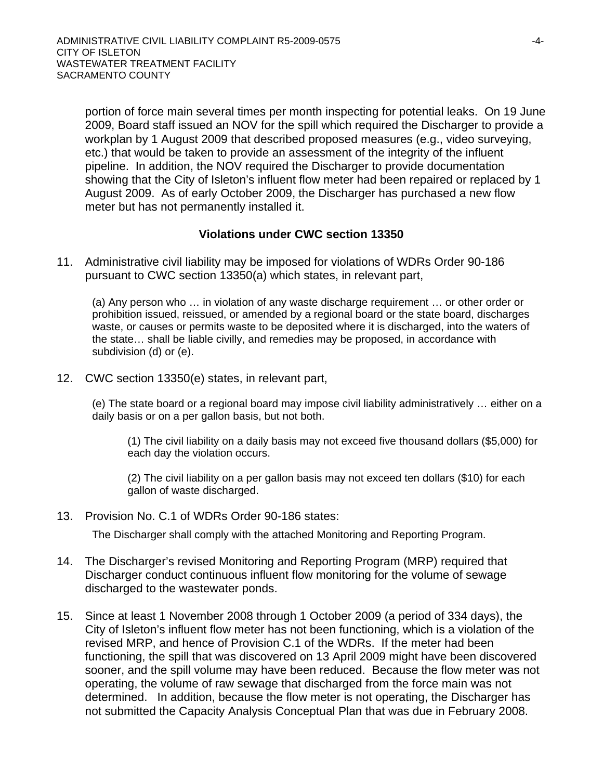portion of force main several times per month inspecting for potential leaks. On 19 June 2009, Board staff issued an NOV for the spill which required the Discharger to provide a workplan by 1 August 2009 that described proposed measures (e.g., video surveying, etc.) that would be taken to provide an assessment of the integrity of the influent pipeline. In addition, the NOV required the Discharger to provide documentation showing that the City of Isleton's influent flow meter had been repaired or replaced by 1 August 2009. As of early October 2009, the Discharger has purchased a new flow meter but has not permanently installed it.

#### **Violations under CWC section 13350**

11. Administrative civil liability may be imposed for violations of WDRs Order 90-186 pursuant to CWC section 13350(a) which states, in relevant part,

(a) Any person who … in violation of any waste discharge requirement … or other order or prohibition issued, reissued, or amended by a regional board or the state board, discharges waste, or causes or permits waste to be deposited where it is discharged, into the waters of the state… shall be liable civilly, and remedies may be proposed, in accordance with subdivision (d) or (e).

12. CWC section 13350(e) states, in relevant part,

(e) The state board or a regional board may impose civil liability administratively … either on a daily basis or on a per gallon basis, but not both.

(1) The civil liability on a daily basis may not exceed five thousand dollars (\$5,000) for each day the violation occurs.

(2) The civil liability on a per gallon basis may not exceed ten dollars (\$10) for each gallon of waste discharged.

13. Provision No. C.1 of WDRs Order 90-186 states:

The Discharger shall comply with the attached Monitoring and Reporting Program.

- 14. The Discharger's revised Monitoring and Reporting Program (MRP) required that Discharger conduct continuous influent flow monitoring for the volume of sewage discharged to the wastewater ponds.
- 15. Since at least 1 November 2008 through 1 October 2009 (a period of 334 days), the City of Isleton's influent flow meter has not been functioning, which is a violation of the revised MRP, and hence of Provision C.1 of the WDRs. If the meter had been functioning, the spill that was discovered on 13 April 2009 might have been discovered sooner, and the spill volume may have been reduced. Because the flow meter was not operating, the volume of raw sewage that discharged from the force main was not determined. In addition, because the flow meter is not operating, the Discharger has not submitted the Capacity Analysis Conceptual Plan that was due in February 2008.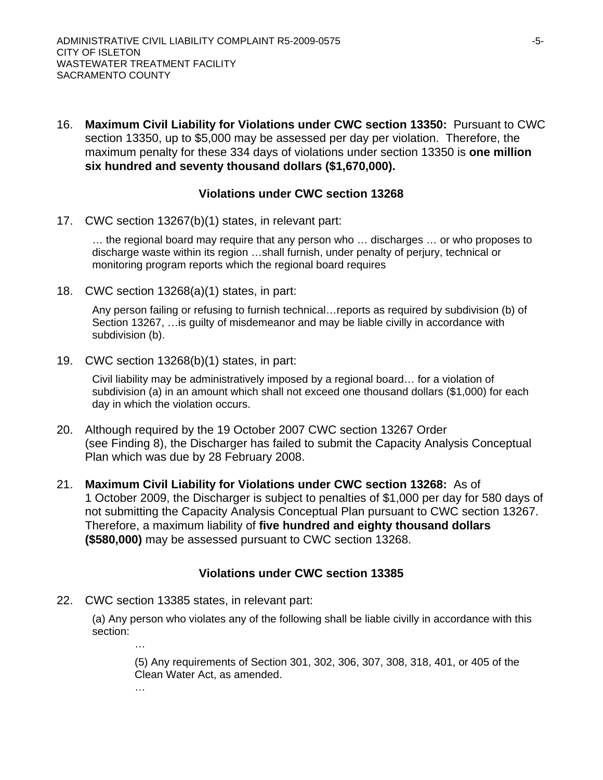16. **Maximum Civil Liability for Violations under CWC section 13350:** Pursuant to CWC section 13350, up to \$5,000 may be assessed per day per violation. Therefore, the maximum penalty for these 334 days of violations under section 13350 is **one million six hundred and seventy thousand dollars (\$1,670,000).** 

# **Violations under CWC section 13268**

17. CWC section 13267(b)(1) states, in relevant part:

… the regional board may require that any person who … discharges … or who proposes to discharge waste within its region …shall furnish, under penalty of perjury, technical or monitoring program reports which the regional board requires

18. CWC section 13268(a)(1) states, in part:

Any person failing or refusing to furnish technical…reports as required by subdivision (b) of Section 13267, …is guilty of misdemeanor and may be liable civilly in accordance with subdivision (b).

19. CWC section 13268(b)(1) states, in part:

Civil liability may be administratively imposed by a regional board… for a violation of subdivision (a) in an amount which shall not exceed one thousand dollars (\$1,000) for each day in which the violation occurs.

- 20. Although required by the 19 October 2007 CWC section 13267 Order (see Finding 8), the Discharger has failed to submit the Capacity Analysis Conceptual Plan which was due by 28 February 2008.
- 21. **Maximum Civil Liability for Violations under CWC section 13268:** As of 1 October 2009, the Discharger is subject to penalties of \$1,000 per day for 580 days of not submitting the Capacity Analysis Conceptual Plan pursuant to CWC section 13267. Therefore, a maximum liability of **five hundred and eighty thousand dollars (\$580,000)** may be assessed pursuant to CWC section 13268.

# **Violations under CWC section 13385**

22. CWC section 13385 states, in relevant part:

…

…

(a) Any person who violates any of the following shall be liable civilly in accordance with this section:

(5) Any requirements of Section 301, 302, 306, 307, 308, 318, 401, or 405 of the Clean Water Act, as amended.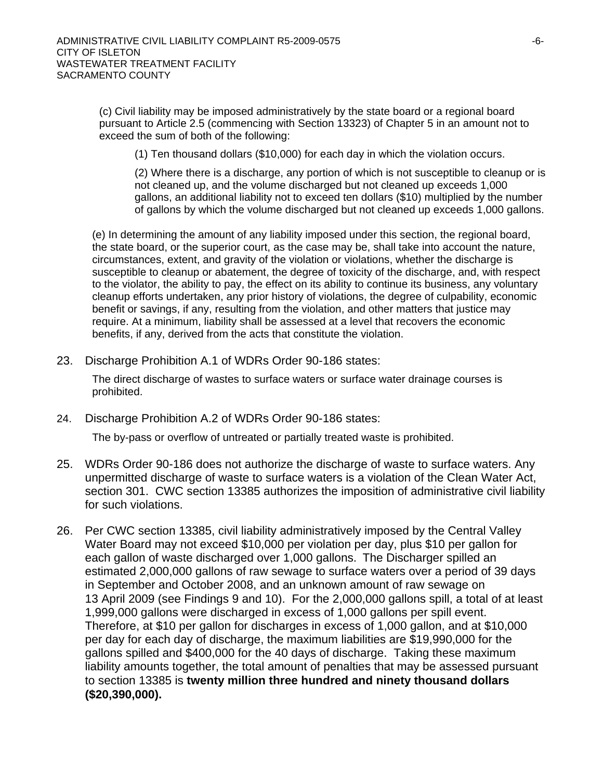(c) Civil liability may be imposed administratively by the state board or a regional board pursuant to Article 2.5 (commencing with Section 13323) of Chapter 5 in an amount not to exceed the sum of both of the following:

(1) Ten thousand dollars (\$10,000) for each day in which the violation occurs.

(2) Where there is a discharge, any portion of which is not susceptible to cleanup or is not cleaned up, and the volume discharged but not cleaned up exceeds 1,000 gallons, an additional liability not to exceed ten dollars (\$10) multiplied by the number of gallons by which the volume discharged but not cleaned up exceeds 1,000 gallons.

(e) In determining the amount of any liability imposed under this section, the regional board, the state board, or the superior court, as the case may be, shall take into account the nature, circumstances, extent, and gravity of the violation or violations, whether the discharge is susceptible to cleanup or abatement, the degree of toxicity of the discharge, and, with respect to the violator, the ability to pay, the effect on its ability to continue its business, any voluntary cleanup efforts undertaken, any prior history of violations, the degree of culpability, economic benefit or savings, if any, resulting from the violation, and other matters that justice may require. At a minimum, liability shall be assessed at a level that recovers the economic benefits, if any, derived from the acts that constitute the violation.

23. Discharge Prohibition A.1 of WDRs Order 90-186 states:

The direct discharge of wastes to surface waters or surface water drainage courses is prohibited.

24. Discharge Prohibition A.2 of WDRs Order 90-186 states:

The by-pass or overflow of untreated or partially treated waste is prohibited.

- 25. WDRs Order 90-186 does not authorize the discharge of waste to surface waters. Any unpermitted discharge of waste to surface waters is a violation of the Clean Water Act, section 301. CWC section 13385 authorizes the imposition of administrative civil liability for such violations.
- 26. Per CWC section 13385, civil liability administratively imposed by the Central Valley Water Board may not exceed \$10,000 per violation per day, plus \$10 per gallon for each gallon of waste discharged over 1,000 gallons. The Discharger spilled an estimated 2,000,000 gallons of raw sewage to surface waters over a period of 39 days in September and October 2008, and an unknown amount of raw sewage on 13 April 2009 (see Findings 9 and 10). For the 2,000,000 gallons spill, a total of at least 1,999,000 gallons were discharged in excess of 1,000 gallons per spill event. Therefore, at \$10 per gallon for discharges in excess of 1,000 gallon, and at \$10,000 per day for each day of discharge, the maximum liabilities are \$19,990,000 for the gallons spilled and \$400,000 for the 40 days of discharge. Taking these maximum liability amounts together, the total amount of penalties that may be assessed pursuant to section 13385 is **twenty million three hundred and ninety thousand dollars (\$20,390,000).**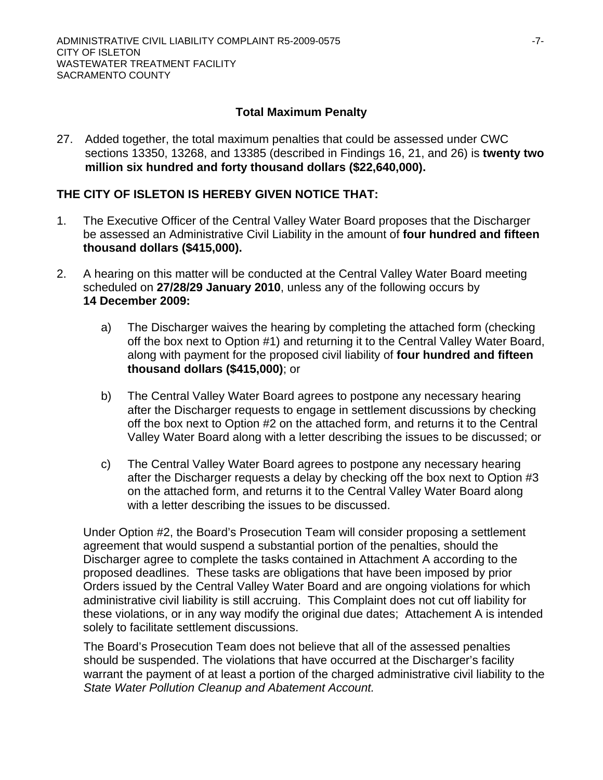# **Total Maximum Penalty**

27. Added together, the total maximum penalties that could be assessed under CWC sections 13350, 13268, and 13385 (described in Findings 16, 21, and 26) is **twenty two million six hundred and forty thousand dollars (\$22,640,000).** 

# **THE CITY OF ISLETON IS HEREBY GIVEN NOTICE THAT:**

- 1. The Executive Officer of the Central Valley Water Board proposes that the Discharger be assessed an Administrative Civil Liability in the amount of **four hundred and fifteen thousand dollars (\$415,000).**
- 2. A hearing on this matter will be conducted at the Central Valley Water Board meeting scheduled on **27/28/29 January 2010**, unless any of the following occurs by **14 December 2009:**
	- a) The Discharger waives the hearing by completing the attached form (checking off the box next to Option #1) and returning it to the Central Valley Water Board, along with payment for the proposed civil liability of **four hundred and fifteen thousand dollars (\$415,000)**; or
	- b) The Central Valley Water Board agrees to postpone any necessary hearing after the Discharger requests to engage in settlement discussions by checking off the box next to Option #2 on the attached form, and returns it to the Central Valley Water Board along with a letter describing the issues to be discussed; or
	- c) The Central Valley Water Board agrees to postpone any necessary hearing after the Discharger requests a delay by checking off the box next to Option #3 on the attached form, and returns it to the Central Valley Water Board along with a letter describing the issues to be discussed.

Under Option #2, the Board's Prosecution Team will consider proposing a settlement agreement that would suspend a substantial portion of the penalties, should the Discharger agree to complete the tasks contained in Attachment A according to the proposed deadlines. These tasks are obligations that have been imposed by prior Orders issued by the Central Valley Water Board and are ongoing violations for which administrative civil liability is still accruing. This Complaint does not cut off liability for these violations, or in any way modify the original due dates; Attachement A is intended solely to facilitate settlement discussions.

The Board's Prosecution Team does not believe that all of the assessed penalties should be suspended. The violations that have occurred at the Discharger's facility warrant the payment of at least a portion of the charged administrative civil liability to the *State Water Pollution Cleanup and Abatement Account.*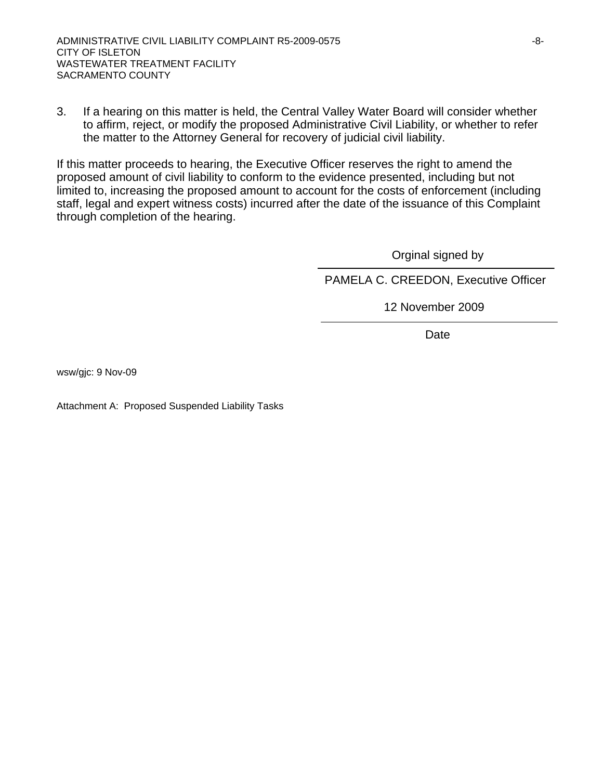3. If a hearing on this matter is held, the Central Valley Water Board will consider whether to affirm, reject, or modify the proposed Administrative Civil Liability, or whether to refer the matter to the Attorney General for recovery of judicial civil liability.

If this matter proceeds to hearing, the Executive Officer reserves the right to amend the proposed amount of civil liability to conform to the evidence presented, including but not limited to, increasing the proposed amount to account for the costs of enforcement (including staff, legal and expert witness costs) incurred after the date of the issuance of this Complaint through completion of the hearing.

Orginal signed by

PAMELA C. CREEDON, Executive Officer

12 November 2009

**Date** and the contract of the contract of the contract of the contract of the contract of the contract of the contract of the contract of the contract of the contract of the contract of the contract of the contract of the

wsw/gjc: 9 Nov-09

Attachment A: Proposed Suspended Liability Tasks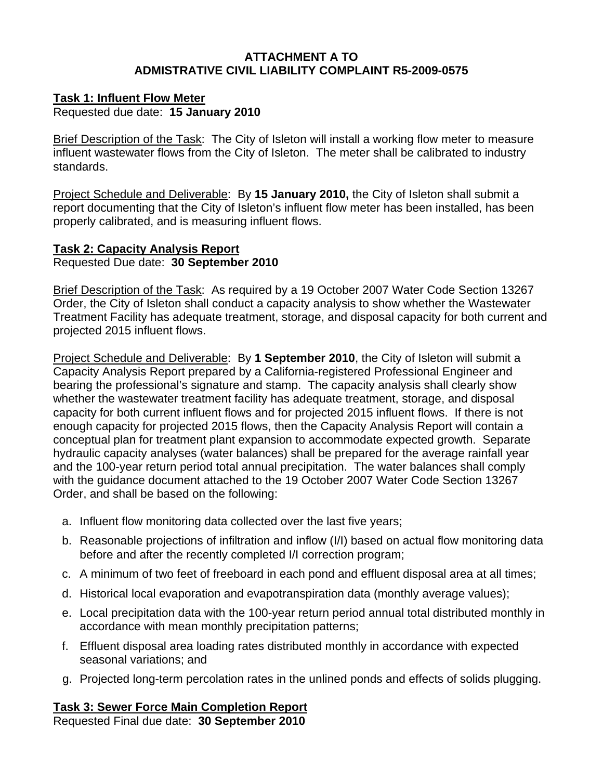# **ATTACHMENT A TO ADMISTRATIVE CIVIL LIABILITY COMPLAINT R5-2009-0575**

#### **Task 1: Influent Flow Meter** Requested due date: **15 January 2010**

Brief Description of the Task: The City of Isleton will install a working flow meter to measure influent wastewater flows from the City of Isleton. The meter shall be calibrated to industry standards.

Project Schedule and Deliverable: By **15 January 2010,** the City of Isleton shall submit a report documenting that the City of Isleton's influent flow meter has been installed, has been properly calibrated, and is measuring influent flows.

# **Task 2: Capacity Analysis Report**

Requested Due date: **30 September 2010**

Brief Description of the Task: As required by a 19 October 2007 Water Code Section 13267 Order, the City of Isleton shall conduct a capacity analysis to show whether the Wastewater Treatment Facility has adequate treatment, storage, and disposal capacity for both current and projected 2015 influent flows.

Project Schedule and Deliverable: By **1 September 2010**, the City of Isleton will submit a Capacity Analysis Report prepared by a California-registered Professional Engineer and bearing the professional's signature and stamp. The capacity analysis shall clearly show whether the wastewater treatment facility has adequate treatment, storage, and disposal capacity for both current influent flows and for projected 2015 influent flows. If there is not enough capacity for projected 2015 flows, then the Capacity Analysis Report will contain a conceptual plan for treatment plant expansion to accommodate expected growth. Separate hydraulic capacity analyses (water balances) shall be prepared for the average rainfall year and the 100-year return period total annual precipitation. The water balances shall comply with the guidance document attached to the 19 October 2007 Water Code Section 13267 Order, and shall be based on the following:

- a. Influent flow monitoring data collected over the last five years;
- b. Reasonable projections of infiltration and inflow (I/I) based on actual flow monitoring data before and after the recently completed I/I correction program;
- c. A minimum of two feet of freeboard in each pond and effluent disposal area at all times;
- d. Historical local evaporation and evapotranspiration data (monthly average values);
- e. Local precipitation data with the 100-year return period annual total distributed monthly in accordance with mean monthly precipitation patterns;
- f. Effluent disposal area loading rates distributed monthly in accordance with expected seasonal variations; and
- g. Projected long-term percolation rates in the unlined ponds and effects of solids plugging.

# **Task 3: Sewer Force Main Completion Report**

Requested Final due date: **30 September 2010**